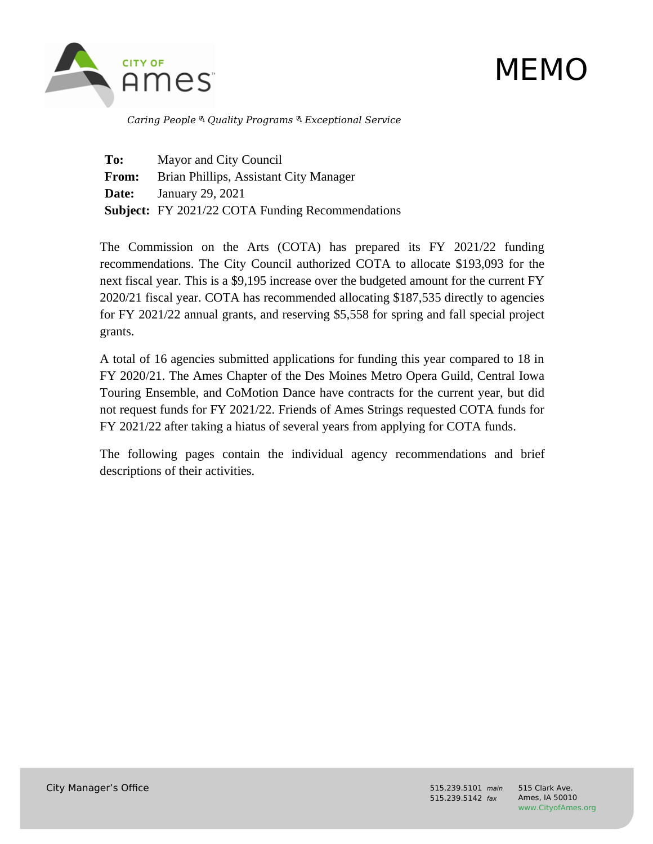

# MEMO

 *Caring People Quality Programs Exceptional Service*

**To:** Mayor and City Council **From:** Brian Phillips, Assistant City Manager **Date:** January 29, 2021 **Subject:** FY 2021/22 COTA Funding Recommendations

The Commission on the Arts (COTA) has prepared its FY 2021/22 funding recommendations. The City Council authorized COTA to allocate \$193,093 for the next fiscal year. This is a \$9,195 increase over the budgeted amount for the current FY 2020/21 fiscal year. COTA has recommended allocating \$187,535 directly to agencies for FY 2021/22 annual grants, and reserving \$5,558 for spring and fall special project grants.

A total of 16 agencies submitted applications for funding this year compared to 18 in FY 2020/21. The Ames Chapter of the Des Moines Metro Opera Guild, Central Iowa Touring Ensemble, and CoMotion Dance have contracts for the current year, but did not request funds for FY 2021/22. Friends of Ames Strings requested COTA funds for FY 2021/22 after taking a hiatus of several years from applying for COTA funds.

The following pages contain the individual agency recommendations and brief descriptions of their activities.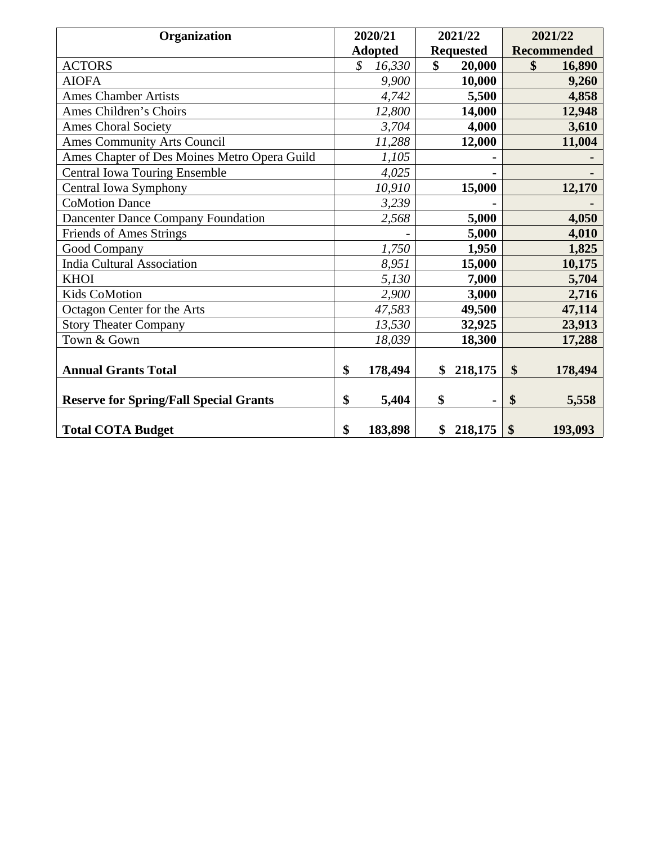| <b>Organization</b>                           | 2020/21                            | 2021/22 |                    | 2021/22                   |         |
|-----------------------------------------------|------------------------------------|---------|--------------------|---------------------------|---------|
|                                               | <b>Adopted</b><br><b>Requested</b> |         | <b>Recommended</b> |                           |         |
| <b>ACTORS</b>                                 | \$<br>16,330                       | \$      | 20,000             | \$                        | 16,890  |
| <b>AIOFA</b>                                  | 9,900                              |         | 10,000             |                           | 9,260   |
| <b>Ames Chamber Artists</b>                   | 4,742                              |         | 5,500              |                           | 4,858   |
| Ames Children's Choirs                        | 12,800                             |         | 14,000             |                           | 12,948  |
| <b>Ames Choral Society</b>                    | 3,704                              |         | 4,000              |                           | 3,610   |
| <b>Ames Community Arts Council</b>            | 11,288                             |         | 12,000             |                           | 11,004  |
| Ames Chapter of Des Moines Metro Opera Guild  | 1,105                              |         |                    |                           |         |
| <b>Central Iowa Touring Ensemble</b>          | 4,025                              |         |                    |                           |         |
| Central Iowa Symphony                         | 10,910                             |         | 15,000             |                           | 12,170  |
| <b>CoMotion Dance</b>                         | 3,239                              |         |                    |                           |         |
| <b>Dancenter Dance Company Foundation</b>     | 2,568                              |         | 5,000              |                           | 4,050   |
| <b>Friends of Ames Strings</b>                |                                    |         | 5,000              |                           | 4,010   |
| <b>Good Company</b>                           | 1,750                              |         | 1,950              |                           | 1,825   |
| <b>India Cultural Association</b>             | 8,951                              |         | 15,000             |                           | 10,175  |
| <b>KHOI</b>                                   | 5,130                              |         | 7,000              |                           | 5,704   |
| <b>Kids CoMotion</b>                          | 2,900                              |         | 3,000              |                           | 2,716   |
| Octagon Center for the Arts                   | 47,583                             |         | 49,500             |                           | 47,114  |
| <b>Story Theater Company</b>                  | 13,530                             |         | 32,925             |                           | 23,913  |
| Town & Gown                                   | 18,039                             |         | 18,300             |                           | 17,288  |
|                                               |                                    |         |                    |                           |         |
| <b>Annual Grants Total</b>                    | \$<br>178,494                      | \$      | 218,175            | $\boldsymbol{\mathsf{S}}$ | 178,494 |
|                                               |                                    |         |                    |                           |         |
| <b>Reserve for Spring/Fall Special Grants</b> | \$<br>5,404                        | \$      |                    | \$                        | 5,558   |
|                                               |                                    |         |                    |                           |         |
| <b>Total COTA Budget</b>                      | \$<br>183,898                      | \$      | 218,175            | \$                        | 193,093 |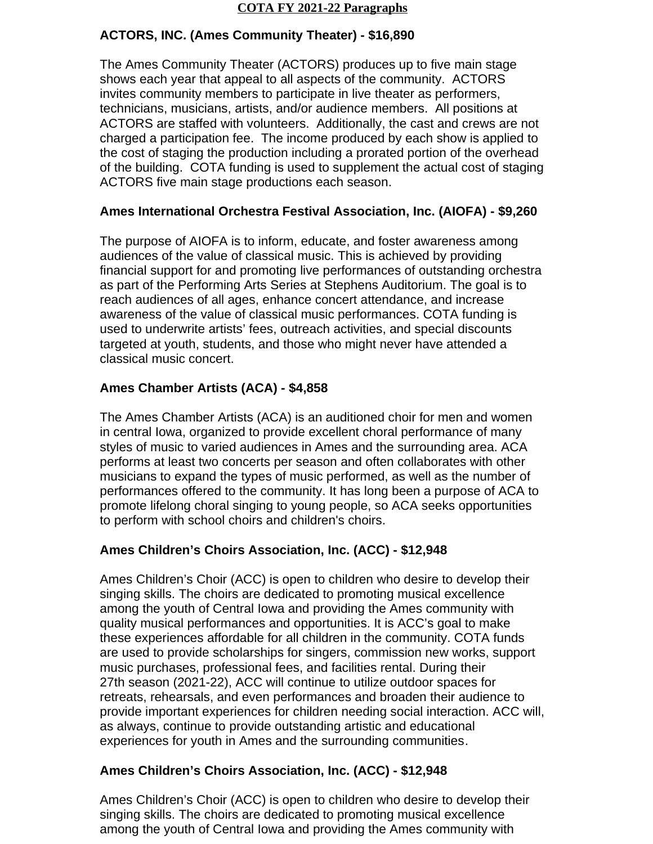#### **COTA FY 2021-22 Paragraphs**

#### **ACTORS, INC. (Ames Community Theater) - \$16,890**

The Ames Community Theater (ACTORS) produces up to five main stage shows each year that appeal to all aspects of the community. ACTORS invites community members to participate in live theater as performers, technicians, musicians, artists, and/or audience members. All positions at ACTORS are staffed with volunteers. Additionally, the cast and crews are not charged a participation fee. The income produced by each show is applied to the cost of staging the production including a prorated portion of the overhead of the building. COTA funding is used to supplement the actual cost of staging ACTORS five main stage productions each season.

## **Ames International Orchestra Festival Association, Inc. (AIOFA) - \$9,260**

The purpose of AIOFA is to inform, educate, and foster awareness among audiences of the value of classical music. This is achieved by providing financial support for and promoting live performances of outstanding orchestra as part of the Performing Arts Series at Stephens Auditorium. The goal is to reach audiences of all ages, enhance concert attendance, and increase awareness of the value of classical music performances. COTA funding is used to underwrite artists' fees, outreach activities, and special discounts targeted at youth, students, and those who might never have attended a classical music concert.

## **Ames Chamber Artists (ACA) - \$4,858**

The Ames Chamber Artists (ACA) is an auditioned choir for men and women in central Iowa, organized to provide excellent choral performance of many styles of music to varied audiences in Ames and the surrounding area. ACA performs at least two concerts per season and often collaborates with other musicians to expand the types of music performed, as well as the number of performances offered to the community. It has long been a purpose of ACA to promote lifelong choral singing to young people, so ACA seeks opportunities to perform with school choirs and children's choirs.

## **Ames Children's Choirs Association, Inc. (ACC) - \$12,948**

Ames Children's Choir (ACC) is open to children who desire to develop their singing skills. The choirs are dedicated to promoting musical excellence among the youth of Central Iowa and providing the Ames community with quality musical performances and opportunities. It is ACC's goal to make these experiences affordable for all children in the community. COTA funds are used to provide scholarships for singers, commission new works, support music purchases, professional fees, and facilities rental. During their 27th season (2021-22), ACC will continue to utilize outdoor spaces for retreats, rehearsals, and even performances and broaden their audience to provide important experiences for children needing social interaction. ACC will, as always, continue to provide outstanding artistic and educational experiences for youth in Ames and the surrounding communities.

## **Ames Children's Choirs Association, Inc. (ACC) - \$12,948**

Ames Children's Choir (ACC) is open to children who desire to develop their singing skills. The choirs are dedicated to promoting musical excellence among the youth of Central Iowa and providing the Ames community with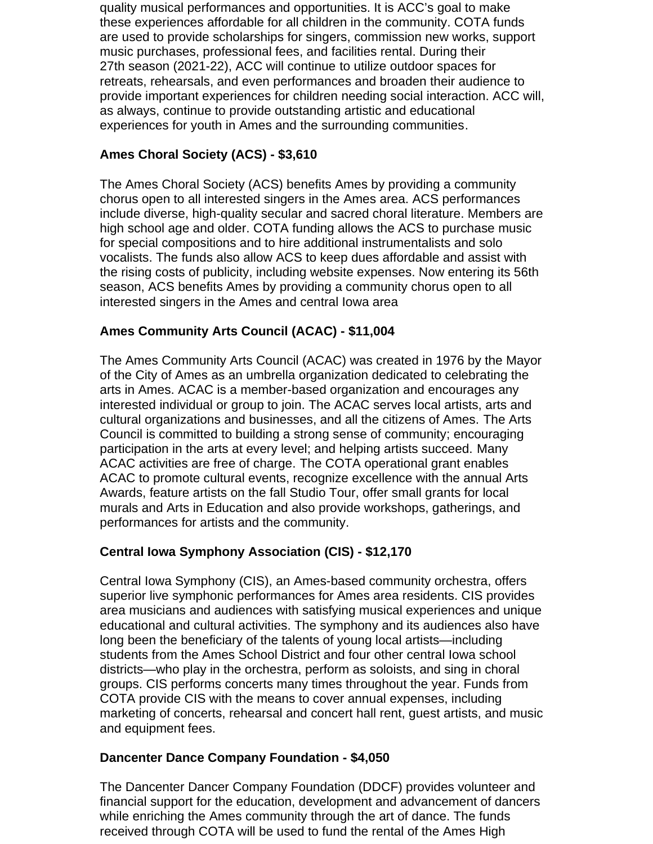quality musical performances and opportunities. It is ACC's goal to make these experiences affordable for all children in the community. COTA funds are used to provide scholarships for singers, commission new works, support music purchases, professional fees, and facilities rental. During their 27th season (2021-22), ACC will continue to utilize outdoor spaces for retreats, rehearsals, and even performances and broaden their audience to provide important experiences for children needing social interaction. ACC will, as always, continue to provide outstanding artistic and educational experiences for youth in Ames and the surrounding communities.

## **Ames Choral Society (ACS) - \$3,610**

The Ames Choral Society (ACS) benefits Ames by providing a community chorus open to all interested singers in the Ames area. ACS performances include diverse, high-quality secular and sacred choral literature. Members are high school age and older. COTA funding allows the ACS to purchase music for special compositions and to hire additional instrumentalists and solo vocalists. The funds also allow ACS to keep dues affordable and assist with the rising costs of publicity, including website expenses. Now entering its 56th season, ACS benefits Ames by providing a community chorus open to all interested singers in the Ames and central Iowa area

## **Ames Community Arts Council (ACAC) - \$11,004**

The Ames Community Arts Council (ACAC) was created in 1976 by the Mayor of the City of Ames as an umbrella organization dedicated to celebrating the arts in Ames. ACAC is a member-based organization and encourages any interested individual or group to join. The ACAC serves local artists, arts and cultural organizations and businesses, and all the citizens of Ames. The Arts Council is committed to building a strong sense of community; encouraging participation in the arts at every level; and helping artists succeed. Many ACAC activities are free of charge. The COTA operational grant enables ACAC to promote cultural events, recognize excellence with the annual Arts Awards, feature artists on the fall Studio Tour, offer small grants for local murals and Arts in Education and also provide workshops, gatherings, and performances for artists and the community.

## **Central Iowa Symphony Association (CIS) - \$12,170**

Central Iowa Symphony (CIS), an Ames-based community orchestra, offers superior live symphonic performances for Ames area residents. CIS provides area musicians and audiences with satisfying musical experiences and unique educational and cultural activities. The symphony and its audiences also have long been the beneficiary of the talents of young local artists—including students from the Ames School District and four other central Iowa school districts—who play in the orchestra, perform as soloists, and sing in choral groups. CIS performs concerts many times throughout the year. Funds from COTA provide CIS with the means to cover annual expenses, including marketing of concerts, rehearsal and concert hall rent, guest artists, and music and equipment fees.

## **Dancenter Dance Company Foundation - \$4,050**

The Dancenter Dancer Company Foundation (DDCF) provides volunteer and financial support for the education, development and advancement of dancers while enriching the Ames community through the art of dance. The funds received through COTA will be used to fund the rental of the Ames High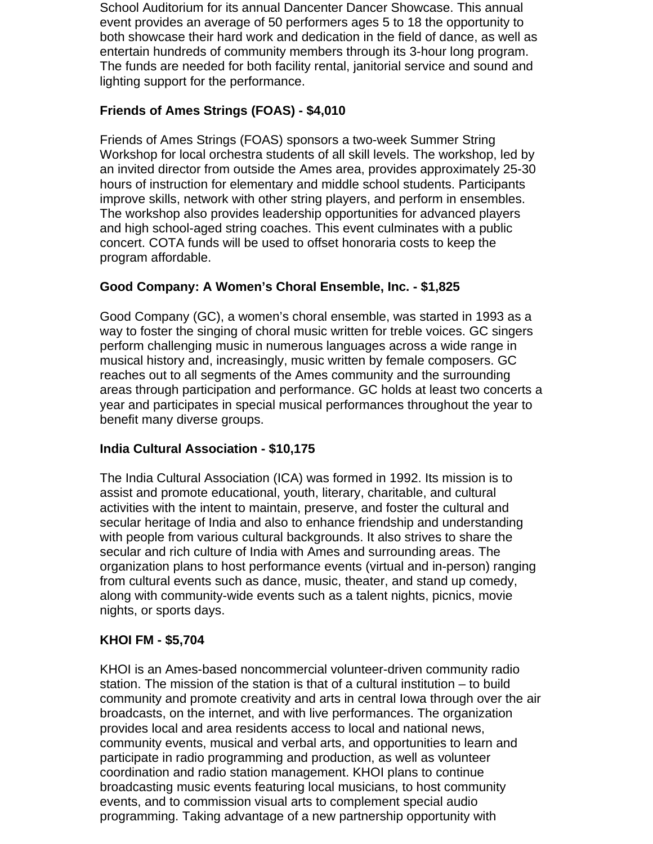School Auditorium for its annual Dancenter Dancer Showcase. This annual event provides an average of 50 performers ages 5 to 18 the opportunity to both showcase their hard work and dedication in the field of dance, as well as entertain hundreds of community members through its 3-hour long program. The funds are needed for both facility rental, janitorial service and sound and lighting support for the performance.

## **Friends of Ames Strings (FOAS) - \$4,010**

Friends of Ames Strings (FOAS) sponsors a two-week Summer String Workshop for local orchestra students of all skill levels. The workshop, led by an invited director from outside the Ames area, provides approximately 25-30 hours of instruction for elementary and middle school students. Participants improve skills, network with other string players, and perform in ensembles. The workshop also provides leadership opportunities for advanced players and high school-aged string coaches. This event culminates with a public concert. COTA funds will be used to offset honoraria costs to keep the program affordable.

## **Good Company: A Women's Choral Ensemble, Inc. - \$1,825**

Good Company (GC), a women's choral ensemble, was started in 1993 as a way to foster the singing of choral music written for treble voices. GC singers perform challenging music in numerous languages across a wide range in musical history and, increasingly, music written by female composers. GC reaches out to all segments of the Ames community and the surrounding areas through participation and performance. GC holds at least two concerts a year and participates in special musical performances throughout the year to benefit many diverse groups.

#### **India Cultural Association - \$10,175**

The India Cultural Association (ICA) was formed in 1992. Its mission is to assist and promote educational, youth, literary, charitable, and cultural activities with the intent to maintain, preserve, and foster the cultural and secular heritage of India and also to enhance friendship and understanding with people from various cultural backgrounds. It also strives to share the secular and rich culture of India with Ames and surrounding areas. The organization plans to host performance events (virtual and in-person) ranging from cultural events such as dance, music, theater, and stand up comedy, along with community-wide events such as a talent nights, picnics, movie nights, or sports days.

#### **KHOI FM - \$5,704**

KHOI is an Ames-based noncommercial volunteer-driven community radio station. The mission of the station is that of a cultural institution – to build community and promote creativity and arts in central Iowa through over the air broadcasts, on the internet, and with live performances. The organization provides local and area residents access to local and national news, community events, musical and verbal arts, and opportunities to learn and participate in radio programming and production, as well as volunteer coordination and radio station management. KHOI plans to continue broadcasting music events featuring local musicians, to host community events, and to commission visual arts to complement special audio programming. Taking advantage of a new partnership opportunity with